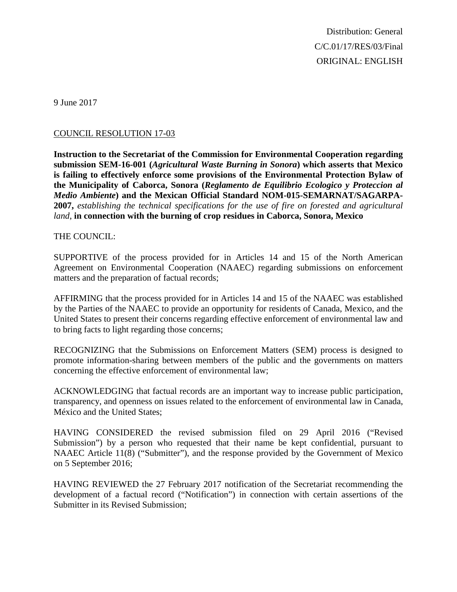Distribution: General C/C.01/17/RES/03/Final ORIGINAL: ENGLISH

9 June 2017

## COUNCIL RESOLUTION 17-03

**Instruction to the Secretariat of the Commission for Environmental Cooperation regarding submission SEM-16-001 (***Agricultural Waste Burning in Sonora***) which asserts that Mexico is failing to effectively enforce some provisions of the Environmental Protection Bylaw of the Municipality of Caborca, Sonora (***Reglamento de Equilibrio Ecologico y Proteccion al Medio Ambiente***) and the Mexican Official Standard NOM-015-SEMARNAT/SAGARPA-2007,** *establishing the technical specifications for the use of fire on forested and agricultural land*, **in connection with the burning of crop residues in Caborca, Sonora, Mexico**

## THE COUNCIL:

SUPPORTIVE of the process provided for in Articles 14 and 15 of the North American Agreement on Environmental Cooperation (NAAEC) regarding submissions on enforcement matters and the preparation of factual records;

AFFIRMING that the process provided for in Articles 14 and 15 of the NAAEC was established by the Parties of the NAAEC to provide an opportunity for residents of Canada, Mexico, and the United States to present their concerns regarding effective enforcement of environmental law and to bring facts to light regarding those concerns;

RECOGNIZING that the Submissions on Enforcement Matters (SEM) process is designed to promote information-sharing between members of the public and the governments on matters concerning the effective enforcement of environmental law;

ACKNOWLEDGING that factual records are an important way to increase public participation, transparency, and openness on issues related to the enforcement of environmental law in Canada, México and the United States;

HAVING CONSIDERED the revised submission filed on 29 April 2016 ("Revised Submission") by a person who requested that their name be kept confidential, pursuant to NAAEC Article 11(8) ("Submitter"), and the response provided by the Government of Mexico on 5 September 2016;

HAVING REVIEWED the 27 February 2017 notification of the Secretariat recommending the development of a factual record ("Notification") in connection with certain assertions of the Submitter in its Revised Submission;